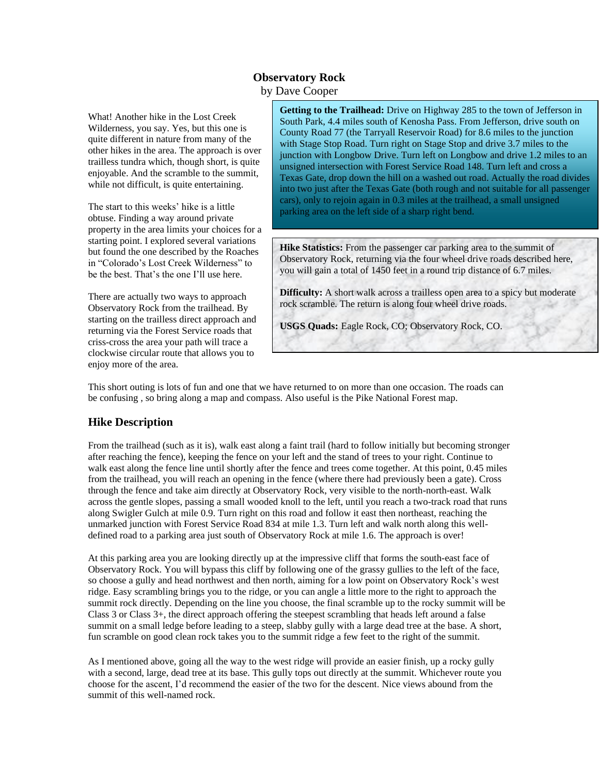## **Observatory Rock**

by Dave Cooper

What! Another hike in the Lost Creek Wilderness, you say. Yes, but this one is quite different in nature from many of the other hikes in the area. The approach is over trailless tundra which, though short, is quite enjoyable. And the scramble to the summit, while not difficult, is quite entertaining.

The start to this weeks' hike is a little obtuse. Finding a way around private property in the area limits your choices for a starting point. I explored several variations but found the one described by the Roaches in "Colorado's Lost Creek Wilderness" to be the best. That's the one I'll use here.

There are actually two ways to approach Observatory Rock from the trailhead. By starting on the trailless direct approach and returning via the Forest Service roads that criss-cross the area your path will trace a clockwise circular route that allows you to enjoy more of the area.

**Getting to the Trailhead:** Drive on Highway 285 to the town of Jefferson in South Park, 4.4 miles south of Kenosha Pass. From Jefferson, drive south on County Road 77 (the Tarryall Reservoir Road) for 8.6 miles to the junction with Stage Stop Road. Turn right on Stage Stop and drive 3.7 miles to the junction with Longbow Drive. Turn left on Longbow and drive 1.2 miles to an unsigned intersection with Forest Service Road 148. Turn left and cross a Texas Gate, drop down the hill on a washed out road. Actually the road divides into two just after the Texas Gate (both rough and not suitable for all passenger cars), only to rejoin again in 0.3 miles at the trailhead, a small unsigned parking area on the left side of a sharp right bend.

**Hike Statistics:** From the passenger car parking area to the summit of Observatory Rock, returning via the four wheel drive roads described here, you will gain a total of 1450 feet in a round trip distance of 6.7 miles.

**Difficulty:** A short walk across a trailless open area to a spicy but moderate rock scramble. The return is along four wheel drive roads.

**USGS Quads:** Eagle Rock, CO; Observatory Rock, CO.

This short outing is lots of fun and one that we have returned to on more than one occasion. The roads can be confusing , so bring along a map and compass. Also useful is the Pike National Forest map.

## **Hike Description**

From the trailhead (such as it is), walk east along a faint trail (hard to follow initially but becoming stronger after reaching the fence), keeping the fence on your left and the stand of trees to your right. Continue to walk east along the fence line until shortly after the fence and trees come together. At this point, 0.45 miles from the trailhead, you will reach an opening in the fence (where there had previously been a gate). Cross through the fence and take aim directly at Observatory Rock, very visible to the north-north-east. Walk across the gentle slopes, passing a small wooded knoll to the left, until you reach a two-track road that runs along Swigler Gulch at mile 0.9. Turn right on this road and follow it east then northeast, reaching the unmarked junction with Forest Service Road 834 at mile 1.3. Turn left and walk north along this welldefined road to a parking area just south of Observatory Rock at mile 1.6. The approach is over!

At this parking area you are looking directly up at the impressive cliff that forms the south-east face of Observatory Rock. You will bypass this cliff by following one of the grassy gullies to the left of the face, so choose a gully and head northwest and then north, aiming for a low point on Observatory Rock's west ridge. Easy scrambling brings you to the ridge, or you can angle a little more to the right to approach the summit rock directly. Depending on the line you choose, the final scramble up to the rocky summit will be Class 3 or Class 3+, the direct approach offering the steepest scrambling that heads left around a false summit on a small ledge before leading to a steep, slabby gully with a large dead tree at the base. A short, fun scramble on good clean rock takes you to the summit ridge a few feet to the right of the summit.

As I mentioned above, going all the way to the west ridge will provide an easier finish, up a rocky gully with a second, large, dead tree at its base. This gully tops out directly at the summit. Whichever route you choose for the ascent, I'd recommend the easier of the two for the descent. Nice views abound from the summit of this well-named rock.